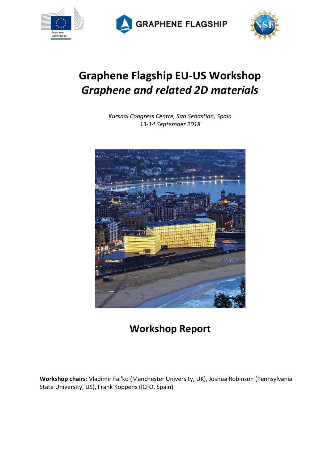

**GRAPHENE FLAGSHIP** 



# **Graphene Flagship EU-US Workshop** *Graphene and related 2D materials*

*Kursaal Congress Centre, San Sebastian, Spain 13-14 September 2018*



# **Workshop Report**

**Workshop chairs**: Vladimir Fal'ko (Manchester University, UK), Joshua Robinson (Pennsylvania State University, US), Frank Koppens (ICFO, Spain)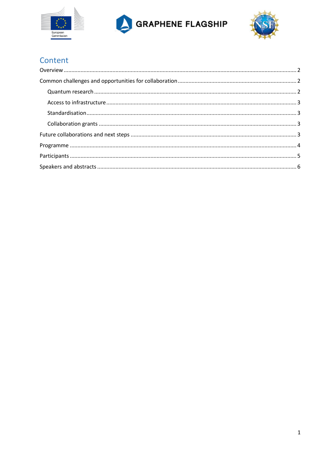





# Content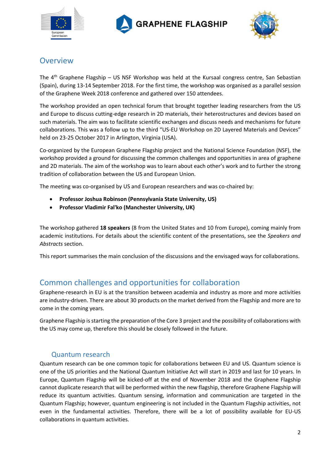





# <span id="page-2-0"></span>**Overview**

The 4<sup>th</sup> Graphene Flagship – US NSF Workshop was held at the Kursaal congress centre, San Sebastian (Spain), during 13-14 September 2018. For the first time, the workshop was organised as a parallel session of the Graphene Week 2018 conference and gathered over 150 attendees.

The workshop provided an open technical forum that brought together leading researchers from the US and Europe to discuss cutting-edge research in 2D materials, their heterostructures and devices based on such materials. The aim was to facilitate scientific exchanges and discuss needs and mechanisms for future collaborations. This was a follow up to the third "US-EU Workshop on 2D Layered Materials and Devices" held on 23-25 October 2017 in Arlington, Virginia (USA).

Co-organized by the European Graphene Flagship project and the National Science Foundation (NSF), the workshop provided a ground for discussing the common challenges and opportunities in area of graphene and 2D materials. The aim of the workshop was to learn about each other's work and to further the strong tradition of collaboration between the US and European Union.

The meeting was co-organised by US and European researchers and was co-chaired by:

- **Professor Joshua Robinson (Pennsylvania State University, US)**
- **Professor Vladimir Fal'ko (Manchester University, UK)**

The workshop gathered **18 speakers** (8 from the United States and 10 from Europe), coming mainly from academic institutions. For details about the scientific content of the presentations, see the *Speakers and Abstracts* section.

This report summarises the main conclusion of the discussions and the envisaged ways for collaborations.

# <span id="page-2-1"></span>Common challenges and opportunities for collaboration

Graphene-research in EU is at the transition between academia and industry as more and more activities are industry-driven. There are about 30 products on the market derived from the Flagship and more are to come in the coming years.

Graphene Flagship is starting the preparation of the Core 3 project and the possibility of collaborations with the US may come up, therefore this should be closely followed in the future.

## Quantum research

<span id="page-2-2"></span>Quantum research can be one common topic for collaborations between EU and US. Quantum science is one of the US priorities and the National Quantum Initiative Act will start in 2019 and last for 10 years. In Europe, Quantum Flagship will be kicked-off at the end of November 2018 and the Graphene Flagship cannot duplicate research that will be performed within the new flagship, therefore Graphene Flagship will reduce its quantum activities. Quantum sensing, information and communication are targeted in the Quantum Flagship; however, quantum engineering is not included in the Quantum Flagship activities, not even in the fundamental activities. Therefore, there will be a lot of possibility available for EU-US collaborations in quantum activities.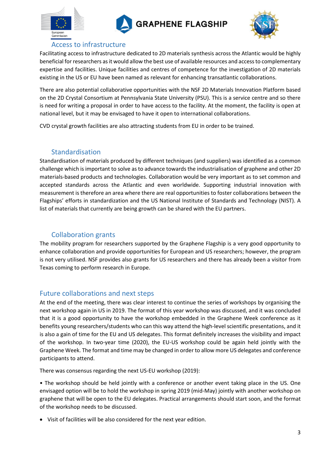







# Access to infrastructure

<span id="page-3-0"></span>Facilitating access to infrastructure dedicated to 2D materials synthesis across the Atlantic would be highly beneficial for researchers as it would allow the best use of available resources and access to complementary expertise and facilities. Unique facilities and centres of competence for the investigation of 2D materials existing in the US or EU have been named as relevant for enhancing transatlantic collaborations.

There are also potential collaborative opportunities with the NSF 2D Materials Innovation Platform based on the 2D Crystal Consortium at Pennsylvania State University (PSU). This is a service centre and so there is need for writing a proposal in order to have access to the facility. At the moment, the facility is open at national level, but it may be envisaged to have it open to international collaborations.

CVD crystal growth facilities are also attracting students from EU in order to be trained.

## Standardisation

<span id="page-3-1"></span>Standardisation of materials produced by different techniques (and suppliers) was identified as a common challenge which is important to solve as to advance towards the industrialisation of graphene and other 2D materials-based products and technologies. Collaboration would be very important as to set common and accepted standards across the Atlantic and even worldwide. Supporting industrial innovation with measurement is therefore an area where there are real opportunities to foster collaborations between the Flagships' efforts in standardization and the US National Institute of Standards and Technology (NIST). A list of materials that currently are being growth can be shared with the EU partners.

# Collaboration grants

<span id="page-3-2"></span>The mobility program for researchers supported by the Graphene Flagship is a very good opportunity to enhance collaboration and provide opportunities for European and US researchers; however, the program is not very utilised. NSF provides also grants for US researchers and there has already been a visitor from Texas coming to perform research in Europe.

# <span id="page-3-3"></span>Future collaborations and next steps

At the end of the meeting, there was clear interest to continue the series of workshops by organising the next workshop again in US in 2019. The format of this year workshop was discussed, and it was concluded that it is a good opportunity to have the workshop embedded in the Graphene Week conference as it benefits young researchers/students who can this way attend the high-level scientific presentations, and it is also a gain of time for the EU and US delegates. This format definitely increases the visibility and impact of the workshop. In two-year time (2020), the EU-US workshop could be again held jointly with the Graphene Week. The format and time may be changed in order to allow more US delegates and conference participants to attend.

There was consensus regarding the next US-EU workshop (2019):

• The workshop should be held jointly with a conference or another event taking place in the US. One envisaged option will be to hold the workshop in spring 2019 (mid-May) jointly with another workshop on graphene that will be open to the EU delegates. Practical arrangements should start soon, and the format of the workshop needs to be discussed.

• Visit of facilities will be also considered for the next year edition.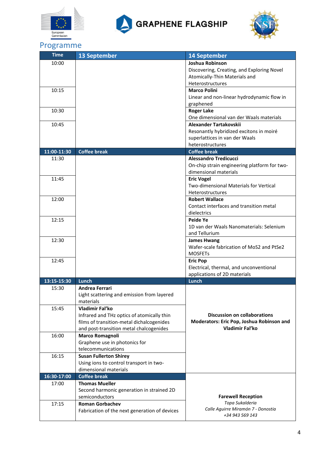





# <span id="page-4-0"></span>Programme

| <b>Time</b> | <b>13 September</b>                           | <b>14 September</b>                          |
|-------------|-----------------------------------------------|----------------------------------------------|
| 10:00       |                                               | Joshua Robinson                              |
|             |                                               | Discovering, Creating, and Exploring Novel   |
|             |                                               | Atomically-Thin Materials and                |
|             |                                               | <b>Heterostructures</b>                      |
| 10:15       |                                               | <b>Marco Polini</b>                          |
|             |                                               | Linear and non-linear hydrodynamic flow in   |
|             |                                               | graphened                                    |
| 10:30       |                                               | <b>Roger Lake</b>                            |
|             |                                               | One dimensional van der Waals materials      |
| 10:45       |                                               | Alexander Tartakovskii                       |
|             |                                               | Resonantly hybridized excitons in moiré      |
|             |                                               | superlattices in van der Waals               |
|             |                                               | heterostructures                             |
| 11:00-11:30 | <b>Coffee break</b>                           | <b>Coffee break</b>                          |
| 11:30       |                                               | <b>Alessandro Tredicucci</b>                 |
|             |                                               | On-chip strain engineering platform for two- |
|             |                                               | dimensional materials                        |
| 11:45       |                                               | <b>Eric Vogel</b>                            |
|             |                                               | Two-dimensional Materials for Vertical       |
|             |                                               | <b>Heterostructures</b>                      |
| 12:00       |                                               | <b>Robert Wallace</b>                        |
|             |                                               | Contact interfaces and transition metal      |
|             |                                               | dielectrics                                  |
| 12:15       |                                               | Peide Ye                                     |
|             |                                               | 1D van der Waals Nanomaterials: Selenium     |
|             |                                               | and Tellurium                                |
| 12:30       |                                               | <b>James Hwang</b>                           |
|             |                                               | Wafer-scale fabrication of MoS2 and PtSe2    |
|             |                                               | <b>MOSFETs</b>                               |
| 12:45       |                                               | <b>Eric Pop</b>                              |
|             |                                               | Electrical, thermal, and unconventional      |
|             |                                               | applications of 2D materials                 |
| 13:15-15:30 | Lunch                                         | Lunch                                        |
| 15:30       | <b>Andrea Ferrari</b>                         |                                              |
|             | Light scattering and emission from layered    |                                              |
|             | materials                                     |                                              |
| 15:45       | Vladimir Fal'ko                               |                                              |
|             | Infrared and THz optics of atomically thin    | <b>Discussion on collaborations</b>          |
|             | films of transition-metal dichalcogenides     | Moderators: Eric Pop, Joshua Robinson and    |
|             | and post-transition metal chalcogenides       | Vladimir Fal'ko                              |
| 16:00       | <b>Marco Romagnoli</b>                        |                                              |
|             | Graphene use in photonics for                 |                                              |
|             | telecommunications                            |                                              |
| 16:15       | <b>Susan Fullerton Shirey</b>                 |                                              |
|             | Using ions to control transport in two-       |                                              |
|             | dimensional materials                         |                                              |
| 16:30-17:00 | <b>Coffee break</b>                           |                                              |
| 17:00       | <b>Thomas Mueller</b>                         |                                              |
|             | Second harmonic generation in strained 2D     |                                              |
|             | semiconductors                                | <b>Farewell Reception</b>                    |
| 17:15       | <b>Roman Gorbachev</b>                        | Topa Sukalderia                              |
|             | Fabrication of the next generation of devices | Calle Aguirre Miramón 7 - Donostia           |
|             |                                               | +34 943 569 143                              |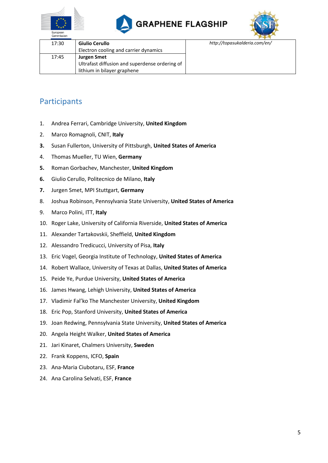





| Commission |                                                                      |                               |
|------------|----------------------------------------------------------------------|-------------------------------|
| 17:30      | Giulio Cerullo                                                       | http://topasukalderia.com/en/ |
|            | Electron cooling and carrier dynamics                                |                               |
| 17:45      | <b>Jurgen Smet</b><br>Ultrafast diffusion and superdense ordering of |                               |
|            | lithium in bilayer graphene                                          |                               |

# <span id="page-5-0"></span>**Participants**

- 1. Andrea Ferrari, Cambridge University, **United Kingdom**
- 2. Marco Romagnoli, CNIT, **Italy**
- **3.** Susan Fullerton, University of Pittsburgh, **United States of America**
- 4. Thomas Mueller, TU Wien, **Germany**
- **5.** Roman Gorbachev, Manchester, **United Kingdom**
- **6.** Giulio Cerullo, Politecnico de Milano, **Italy**
- **7.** Jurgen Smet, MPI Stuttgart, **Germany**
- 8. Joshua Robinson, Pennsylvania State University, **United States of America**
- 9. Marco Polini, ITT, **Italy**
- 10. Roger Lake, University of California Riverside, **United States of America**
- 11. Alexander Tartakovskii, Sheffield, **United Kingdom**
- 12. Alessandro Tredicucci, University of Pisa, **Italy**
- 13. Eric Vogel, Georgia Institute of Technology, **United States of America**
- 14. Robert Wallace, University of Texas at Dallas, **United States of America**
- 15. Peide Ye, Purdue University, **United States of America**
- 16. James Hwang, Lehigh University, **United States of America**
- 17. Vladimir Fal'ko The Manchester University, **United Kingdom**
- 18. Eric Pop, Stanford University, **United States of America**
- 19. Joan Redwing, Pennsylvania State University, **United States of America**
- 20. Angela Height Walker, **United States of America**
- 21. Jari Kinaret, Chalmers University, **Sweden**
- 22. Frank Koppens, ICFO, **Spain**
- 23. Ana-Maria Ciubotaru, ESF, **France**
- 24. Ana Carolina Selvati, ESF, **France**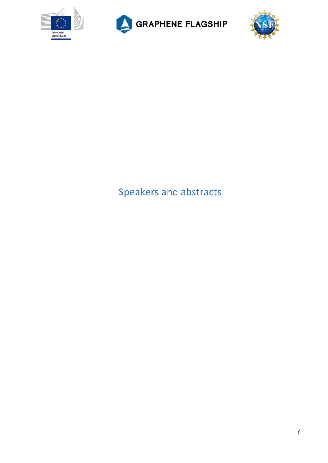





# <span id="page-6-0"></span>Speakers and abstracts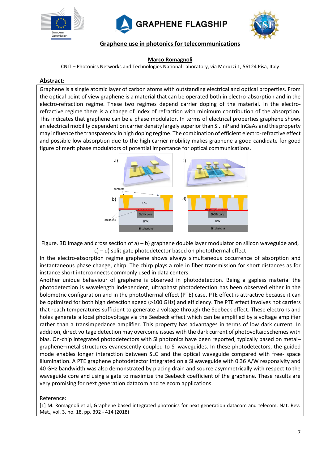





#### **Graphene use in photonics for telecommunications**

#### **Marco Romagnoli**

CNIT – Photonics Networks and Technologies National Laboratory, via Moruzzi 1, 56124 Pisa, Italy

#### **Abstract:**

Graphene is a single atomic layer of carbon atoms with outstanding electrical and optical properties. From the optical point of view graphene is a material that can be operated both in electro-absorption and in the electro-refraction regime. These two regimes depend carrier doping of the material. In the electrorefractive regime there is a change of index of refraction with minimum contribution of the absorption. This indicates that graphene can be a phase modulator. In terms of electrical properties graphene shows an electrical mobility dependent on carrier density largely superior than Si, InP and InGaAs and this property may influence the transparency in high doping regime. The combination of efficient electro-refractive effect and possible low absorption due to the high carrier mobility makes graphene a good candidate for good figure of merit phase modulators of potential importance for optical communications.



Figure. 3D image and cross section of a) – b) graphene double layer modulator on silicon waveguide and, c) – d) split gate photodetector based on photothermal effect

In the electro-absorption regime graphene shows always simultaneous occurrence of absorption and instantaneous phase change, chirp. The chirp plays a role in fiber transmission for short distances as for instance short interconnects commonly used in data centers.

Another unique behaviour of graphene is observed in photodetection. Being a gapless material the photodetection is wavelength independent, ultraphast photodetection has been observed either in the bolometric configuration and in the photothermal effect (PTE) case. PTE effect is attractive because it can be optimized for both high detection speed (>100 GHz) and efficiency. The PTE effect involves hot carriers that reach temperatures sufficient to generate a voltage through the Seebeck effect. These electrons and holes generate a local photovoltage via the Seebeck effect which can be amplified by a voltage amplifier rather than a transimpedance amplifier. This property has advantages in terms of low dark current. In addition, direct voltage detection may overcome issues with the dark current of photovoltaic schemes with bias. On-chip integrated photodetectors with Si photonics have been reported, typically based on metal– graphene–metal structures evanescently coupled to Si waveguides. In these photodetectors, the guided mode enables longer interaction between SLG and the optical waveguide compared with free- space illumination. A PTE graphene photodetector integrated on a Si waveguide with 0.36 A/W responsivity and 40 GHz bandwidth was also demonstrated by placing drain and source asymmetrically with respect to the waveguide core and using a gate to maximize the Seebeck coefficient of the graphene. These results are very promising for next generation datacom and telecom applications.

Reference:

[1] M. Romagnoli et al, Graphene based integrated photonics for next generation datacom and telecom, Nat. Rev. Mat., vol. 3, no. 18, pp. 392 - 414 (2018)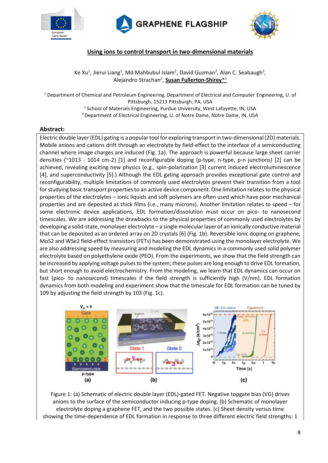





### **Using ions to control transport in two-dimensional materials**

Ke Xu<sup>1</sup>, Jierui Liang<sup>1</sup>, Md Mahbubul Islam<sup>2</sup>, David Guzman<sup>2</sup>, Alan C. Seabaugh<sup>3</sup>, Alejandro Strachan<sup>2</sup>, **Susan Fullerton-Shirey**\*<sup>1</sup>

<sup>1</sup> Department of Chemical and Petroleum Engineering, Department of Electrical and Computer Engineering, U. of Pittsburgh, 15213 Pittsburgh, PA, USA

<sup>2</sup> School of Materials Engineering, Purdue University, West Lafayette, IN, USA

<sup>3</sup> Department of Electrical Engineering, U. of Notre Dame, Notre Dame, IN, USA

#### **Abstract:**

Electric double layer (EDL) gating is a popular tool for exploring transport in two-dimensional (2D) materials. Mobile anions and cations drift through an electrolyte by field-effect to the interface of a semiconducting channel where image charges are induced (Fig. 1a). The approach is powerful because large sheet carrier densities (~1013 - 1014 cm-2) [1] and reconfigurable doping (p-type, n-type, p-n junctions) [2] can be achieved, revealing exciting new physics (e.g., spin-polarization [3] current induced electroluminescence [4], and superconductivity [5].) Although the EDL gating approach provides exceptional gate control and reconfigurability, multiple limitations of commonly used electrolytes prevent their transition from a tool for studying basic transport properties to an active device component. One limitation relates to the physical properties of the electrolytes – ionic liquids and soft polymers are often used which have poor mechanical properties and are deposited as thick films (i.e., many microns). Another limitation relates to speed – for some electronic device applications, EDL formation/dissolution must occur on pico- to nanosecond timescales. We are addressing the drawbacks to the physical properties of commonly used electrolytes by developing a solid-state, monolayer electrolyte – a single molecular layer of an ionically conductive material that can be deposited as an ordered array on 2D crystals [6] (Fig. 1b). Reversible ionic doping on graphene, MoS2 and WSe2 field-effect transistors (FETs) has been demonstrated using the monolayer electrolyte. We are also addressing speed by measuring and modeling the EDL dynamics in a commonly used solid polymer electrolyte based on polyethylene oxide (PEO). From the experiments, we show that the field strength can be increased by applying voltage pulses to the system; these pulses are long enough to drive EDL formation, but short enough to avoid electrochemistry. From the modeling, we learn that EDL dynamics can occur on fast (pico- to nanosecond) timescales if the field strength is sufficiently high (V/nm). EDL formation dynamics from both modeling and experiment show that the timescale for EDL formation can be tuned by 109 by adjusting the field strength by 103 (Fig. 1c).



Figure 1: (a) Schematic of electric double layer (EDL)-gated FET. Negative topgate bias (VG) drives anions to the surface of the semiconductor inducing p-type doping. (b) Schematic of monolayer electrolyte doping a graphene FET, and the two possible states. (c) Sheet density versus time showing the time-dependence of EDL formation in response to three different electric field strengths: 1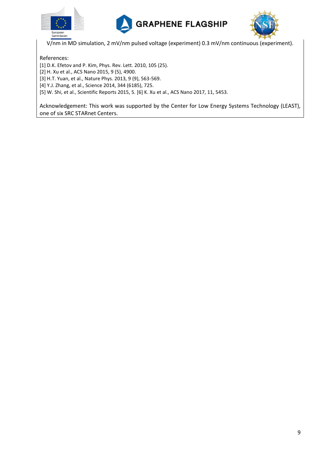





V/nm in MD simulation, 2 mV/nm pulsed voltage (experiment) 0.3 mV/nm continuous (experiment).

References:

[1] D.K. Efetov and P. Kim, Phys. Rev. Lett. 2010, 105 (25). [2] H. Xu et al., ACS Nano 2015, 9 (5), 4900. [3] H.T. Yuan, et al., Nature Phys. 2013, 9 (9), 563-569. [4] Y.J. Zhang, et al., Science 2014, 344 (6185), 725. [5] W. Shi, et al., Scientific Reports 2015, 5. [6] K. Xu et al., ACS Nano 2017, 11, 5453.

Acknowledgement: This work was supported by the Center for Low Energy Systems Technology (LEAST), one of six SRC STARnet Centers.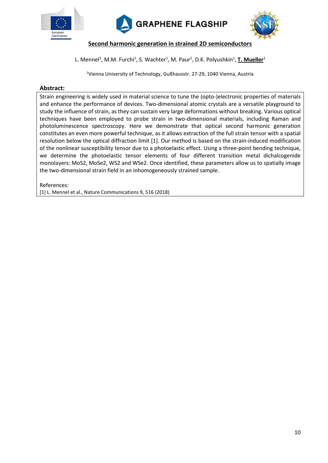





**Second harmonic generation in strained 2D semiconductors**

#### L. Mennel<sup>1</sup>, M.M. Furchi<sup>1</sup>, S. Wachter<sup>1</sup>, M. Paur<sup>1</sup>, D.K. Polyushkin<sup>1</sup>, T. Mueller<sup>1</sup>

<sup>1</sup>Vienna University of Technology, Gußhausstr. 27-29, 1040 Vienna, Austria

#### **Abstract:**

Strain engineering is widely used in material science to tune the (opto-)electronic properties of materials and enhance the performance of devices. Two-dimensional atomic crystals are a versatile playground to study the influence of strain, as they can sustain very large deformations without breaking. Various optical techniques have been employed to probe strain in two-dimensional materials, including Raman and photoluminescence spectroscopy. Here we demonstrate that optical second harmonic generation constitutes an even more powerful technique, as it allows extraction of the full strain tensor with a spatial resolution below the optical diffraction limit [1]. Our method is based on the strain-induced modification of the nonlinear susceptibility tensor due to a photoelastic effect. Using a three-point bending technique, we determine the photoelastic tensor elements of four different transition metal dichalcogenide monolayers: MoS2, MoSe2, WS2 and WSe2. Once identified, these parameters allow us to spatially image the two-dimensional strain field in an inhomogeneously strained sample.

References:

[1] L. Mennel et al., Nature Communications 9, 516 (2018)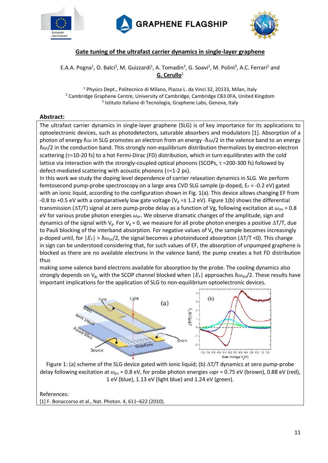





## **Gate tuning of the ultrafast carrier dynamics in single-layer graphene**

E.A.A. Pogna<sup>1</sup>, O. Balci<sup>2</sup>, M. Guizzardi<sup>1</sup>, A. Tomadin<sup>3</sup>, G. Soavi<sup>2</sup>, M. Polini<sup>3</sup>, A.C. Ferrari<sup>2</sup> and **G. Cerullo**<sup>1</sup>

<sup>1</sup> Physics Dept., Politecnico di Milano, Piazza L. da Vinci 32, 20133, Milan, Italy <sup>2</sup> Cambridge Graphene Centre, University of Cambridge, Cambridge CB3 0FA, United Kingdom 3 Istituto Italiano di Tecnologia, Graphene Labs, Genova, Italy

#### **Abstract:**

The ultrafast carrier dynamics in single-layer graphene (SLG) is of key importance for its applications to optoelectronic devices, such as photodetectors, saturable absorbers and modulators [1]. Absorption of a photon of energy  $\hbar\omega$  in SLG promotes an electron from an energy - $\hbar\omega/2$  in the valence band to an energy  $\hbar\omega/2$  in the conduction band. This strongly non-equilibrium distribution thermalizes by electron-electron scattering ( $\tau \approx$ 10-20 fs) to a hot Fermi-Dirac (FD) distribution, which in turn equilibrates with the cold lattice via interaction with the strongly-coupled optical phonons (SCOPs,  $\tau \approx 200$ -300 fs) followed by defect-mediated scattering with acoustic phonons ( $\tau \approx 1$ -2 ps).

In this work we study the doping level dependence of carrier relaxation dynamics in SLG. We perform femtosecond pump-probe spectroscopy on a large area CVD SLG sample (p-doped,  $E_F = -0.2$  eV) gated with an ionic liquid, according to the configuration shown in Fig. 1(a). This device allows changing EF from -0.8 to +0.5 eV with a comparatively low gate voltage ( $V_g = \pm 1.2$  eV). Figure 1(b) shows the differential transmission ( $\Delta T/T$ ) signal at zero pump-probe delay as a function of Vg, following excitation at  $\omega_{\text{pu}} = 0.8$ eV for various probe photon energies  $\omega_{\text{pr}}$ . We observe dramatic changes of the amplitude, sign and dynamics of the signal with  $V_g$ . For  $V_g = 0$ , we measure for all probe photon energies a positive  $\Delta T/T$ , due to Pauli blocking of the interband absorption. For negative values of  $V_g$  the sample becomes increasingly p-doped until, for  $|E_F| > \hbar \omega_{\text{or}}/2$ , the signal becomes a photoinduced absorption ( $\Delta T/T$  <0). This change in sign can be understood considering that, for such values of EF, the absorption of unpumped graphene is blocked as there are no available electrons in the valence band; the pump creates a hot FD distribution thus

making some valence band electrons available for absorption by the probe. The cooling dynamics also strongly depends on  $V_{g}$ , with the SCOP channel blocked when  $|E_{F}|$  approaches  $\hbar\omega_{pu}/2$ . These results have important implications for the application of SLG to non-equilibrium optoelectronic devices.



Figure 1: (a) scheme of the SLG device gated with ionic liquid; (b)  $\Delta T/T$  dynamics at zero pump-probe delay following excitation at  $\omega_{\text{pu}}$  = 0.8 eV, for probe photon energies  $\omega$ pr = 0.75 eV (brown), 0.88 eV (red), 1 eV (blue), 1.13 eV (light blue) and 1.24 eV (green).

References:

[1] F. Bonaccorso et al., Nat. Photon. 4, 611–622 (2010).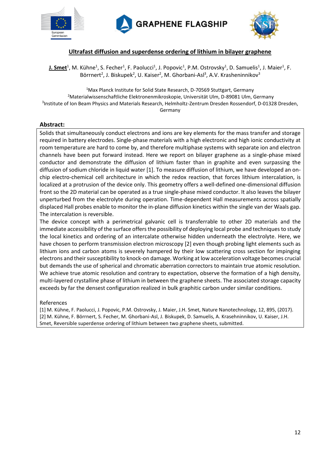





#### **Ultrafast diffusion and superdense ordering of lithium in bilayer graphene**

**J. Smet**<sup>1</sup>, M. Kühne<sup>1</sup>, S. Fecher<sup>1</sup>, F. Paolucci<sup>1</sup>, J. Popovic<sup>1</sup>, P.M. Ostrovsky<sup>1</sup>, D. Samuelis<sup>1</sup>, J. Maier<sup>1</sup>, F. Börrnert<sup>2</sup>, J. Biskupek<sup>2</sup>, U. Kaiser<sup>2</sup>, M. Ghorbani-Asl<sup>3</sup>, A.V. Krasheninnikov<sup>3</sup>

<sup>1</sup>Max Planck Institute for Solid State Research, D-70569 Stuttgart, Germany <sup>2</sup>Materialwissenschaftliche Elektronenmikroskopie, Universität Ulm, D-89081 Ulm, Germany 3 Institute of Ion Beam Physics and Materials Research, Helmholtz-Zentrum Dresden Rossendorf, D-01328 Dresden, Germany

#### **Abstract:**

Solids that simultaneously conduct electrons and ions are key elements for the mass transfer and storage required in battery electrodes. Single-phase materials with a high electronic and high ionic conductivity at room temperature are hard to come by, and therefore multiphase systems with separate ion and electron channels have been put forward instead. Here we report on bilayer graphene as a single-phase mixed conductor and demonstrate the diffusion of lithium faster than in graphite and even surpassing the diffusion of sodium chloride in liquid water [1]. To measure diffusion of lithium, we have developed an onchip electro-chemical cell architecture in which the redox reaction, that forces lithium intercalation, is localized at a protrusion of the device only. This geometry offers a well-defined one-dimensional diffusion front so the 2D material can be operated as a true single-phase mixed conductor. It also leaves the bilayer unperturbed from the electrolyte during operation. Time-dependent Hall measurements across spatially displaced Hall probes enable to monitor the in-plane diffusion kinetics within the single van der Waals gap. The intercalation is reversible.

The device concept with a perimetrical galvanic cell is transferrable to other 2D materials and the immediate accessibility of the surface offers the possibility of deploying local probe and techniques to study the local kinetics and ordering of an intercalate otherwise hidden underneath the electrolyte. Here, we have chosen to perform transmission electron microscopy [2] even though probing light elements such as lithium ions and carbon atoms is severely hampered by their low scattering cross section for impinging electrons and their susceptibility to knock-on damage. Working at low acceleration voltage becomes crucial but demands the use of spherical and chromatic aberration correctors to maintain true atomic resolution. We achieve true atomic resolution and contrary to expectation, observe the formation of a high density, multi-layered crystalline phase of lithium in between the graphene sheets. The associated storage capacity exceeds by far the densest configuration realized in bulk graphitic carbon under similar conditions.

#### References

[1] M. Kühne, F. Paolucci, J. Popovic, P.M. Ostrovsky, J. Maier, J.H. Smet, Nature Nanotechnology, 12, 895, (2017). [2] M. Kühne, F. Börrnert, S. Fecher, M. Ghorbani-Asl, J. Biskupek, D. Samuelis, A. Krasehninnikov, U. Kaiser, J.H. Smet, Reversible superdense ordering of lithium between two graphene sheets, submitted.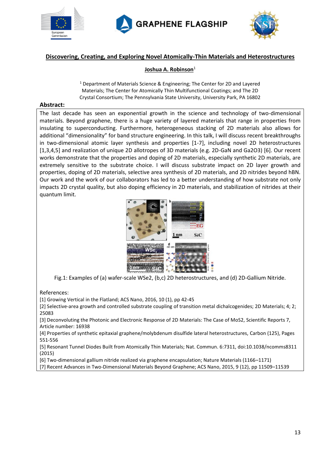





#### **Discovering, Creating, and Exploring Novel Atomically-Thin Materials and Heterostructures**

#### **Joshua A. Robinson**<sup>1</sup>

<sup>1</sup> Department of Materials Science & Engineering; The Center for 2D and Layered Materials; The Center for Atomically Thin Multifunctional Coatings; and The 2D Crystal Consortium; The Pennsylvania State University, University Park, PA 16802

#### **Abstract:**

The last decade has seen an exponential growth in the science and technology of two-dimensional materials. Beyond graphene, there is a huge variety of layered materials that range in properties from insulating to superconducting. Furthermore, heterogeneous stacking of 2D materials also allows for additional "dimensionality" for band structure engineering. In this talk, I will discuss recent breakthroughs in two-dimensional atomic layer synthesis and properties [1-7], including novel 2D heterostructures [1,3,4,5] and realization of unique 2D allotropes of 3D materials (e.g. 2D-GaN and Ga2O3) [6]. Our recent works demonstrate that the properties and doping of 2D materials, especially synthetic 2D materials, are extremely sensitive to the substrate choice. I will discuss substrate impact on 2D layer growth and properties, doping of 2D materials, selective area synthesis of 2D materials, and 2D nitrides beyond hBN. Our work and the work of our collaborators has led to a better understanding of how substrate not only impacts 2D crystal quality, but also doping efficiency in 2D materials, and stabilization of nitrides at their quantum limit.



Fig.1: Examples of (a) wafer‐scale WSe2, (b,c) 2D heterostructures, and (d) 2D‐Gallium Nitride.

#### References:

[1] Growing Vertical in the Flatland; ACS Nano, 2016, 10 (1), pp 42-45

[2] Selective-area growth and controlled substrate coupling of transition metal dichalcogenides; 2D Materials; 4; 2; 25083

[3] Deconvoluting the Photonic and Electronic Response of 2D Materials: The Case of MoS2, Scientific Reports 7, Article number: 16938

[4] Properties of synthetic epitaxial graphene/molybdenum disulfide lateral heterostructures, Carbon (125), Pages 551-556

[5] Resonant Tunnel Diodes Built from Atomically Thin Materials; Nat. Commun. 6:7311, doi:10.1038/ncomms8311 (2015)

[6] Two-dimensional gallium nitride realized via graphene encapsulation; Nature Materials (1166–1171)

[7] Recent Advances in Two-Dimensional Materials Beyond Graphene; ACS Nano, 2015, 9 (12), pp 11509–11539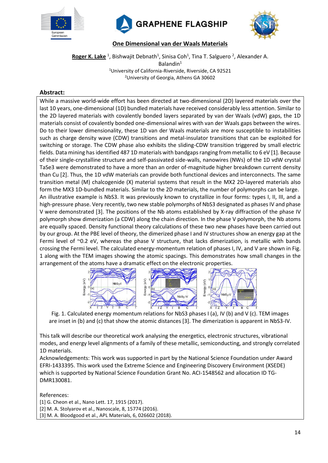





**One Dimensional van der Waals Materials**

Roger K. Lake <sup>1</sup>, Bishwajit Debnath<sup>1</sup>, Sinisa Coh<sup>1</sup>, Tina T. Salguero <sup>2</sup>, Alexander A. Balandin<sup>1</sup> <sup>1</sup>University of California-Riverside, Riverside, CA 92521 <sup>2</sup>University of Georgia, Athens GA 30602

#### **Abstract:**

While a massive world-wide effort has been directed at two-dimensional (2D) layered materials over the last 10 years, one-dimensional (1D) bundled materials have received considerably less attention. Similar to the 2D layered materials with covalently bonded layers separated by van der Waals (vdW) gaps, the 1D materials consist of covalently bonded one-dimensional wires with van der Waals gaps between the wires. Do to their lower dimensionality, these 1D van der Waals materials are more susceptible to instabilities such as charge density wave (CDW) transitions and metal-insulator transitions that can be exploited for switching or storage. The CDW phase also exhibits the sliding-CDW transition triggered by small electric fields. Data mining has identified 487 1D materials with bandgaps ranging from metallic to 6 eV [1]. Because of their single-crystalline structure and self-passivated side-walls, nanowires (NWs) of the 1D vdW crystal TaSe3 were demonstrated to have a more than an order of-magnitude higher breakdown current density than Cu [2]. Thus, the 1D vdW materials can provide both functional devices and interconnects. The same transition metal (M) chalcogenide (X) material systems that result in the MX2 2D-layered materials also form the MX3 1D-bundled materials. Similar to the 2D materials, the number of polymorphs can be large. An illustrative example is NbS3. It was previously known to crystallize in four forms: types I, II, III, and a high-pressure phase. Very recently, two new stable polymorphs of NbS3 designated as phases IV and phase V were demonstrated [3]. The positions of the Nb atoms established by X-ray diffraction of the phase IV polymorph show dimerization (a CDW) along the chain direction. In the phase V polymorph, the Nb atoms are equally spaced. Density functional theory calculations of these two new phases have been carried out by our group. At the PBE level of theory, the dimerized phase I and IV structures show an energy gap at the Fermi level of ~0.2 eV, whereas the phase V structure, that lacks dimerization, is metallic with bands crossing the Fermi level. The calculated energy-momentum relation of phases I, IV, and V are shown in Fig. 1 along with the TEM images showing the atomic spacings. This demonstrates how small changes in the arrangement of the atoms have a dramatic effect on the electronic properties.



Fig. 1. Calculated energy momentum relations for NbS3 phases I (a), IV (b) and V (c). TEM images are inset in (b) and (c) that show the atomic distances [3]. The dimerization is apparent in NbS3-IV.

This talk will describe our theoretical work analysing the energetics, electronic structures, vibrational modes, and energy level alignments of a family of these metallic, semiconducting, and strongly correlated 1D materials.

Acknowledgements: This work was supported in part by the National Science Foundation under Award EFRI-1433395. This work used the Extreme Science and Engineering Discovery Environment (XSEDE) which is supported by National Science Foundation Grant No. ACI-1548562 and allocation ID TG-DMR130081.

References:

[1] G. Cheon et al., Nano Lett. 17, 1915 (2017). [2] M. A. Stolyarov et al., Nanoscale, 8, 15774 (2016). [3] M. A. Bloodgood et al., APL Materials, 6, 026602 (2018).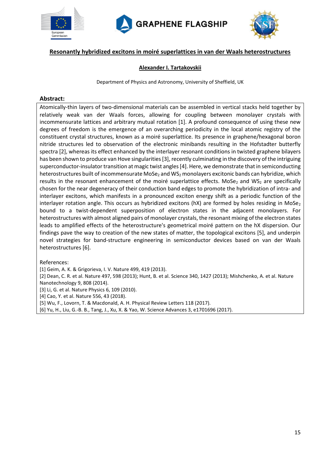





### **Resonantly hybridized excitons in moiré superlattices in van der Waals heterostructures**

#### **Alexander I. Tartakovskii**

Department of Physics and Astronomy, University of Sheffield, UK

#### **Abstract:**

Atomically-thin layers of two-dimensional materials can be assembled in vertical stacks held together by relatively weak van der Waals forces, allowing for coupling between monolayer crystals with incommensurate lattices and arbitrary mutual rotation [1]. A profound consequence of using these new degrees of freedom is the emergence of an overarching periodicity in the local atomic registry of the constituent crystal structures, known as a moiré superlattice. Its presence in graphene/hexagonal boron nitride structures led to observation of the electronic minibands resulting in the Hofstadter butterfly spectra [2], whereas its effect enhanced by the interlayer resonant conditions in twisted graphene bilayers has been shown to produce van Hove singularities [3], recently culminating in the discovery of the intriguing superconductor-insulator transition at magic twist angles [4]. Here, we demonstrate that in semiconducting heterostructures built of incommensurate MoSe<sub>2</sub> and WS<sub>2</sub> monolayers excitonic bands can hybridize, which results in the resonant enhancement of the moiré superlattice effects. MoSe<sub>2</sub> and WS<sub>2</sub> are specifically chosen for the near degeneracy of their conduction band edges to promote the hybridization of intra- and interlayer excitons, which manifests in a pronounced exciton energy shift as a periodic function of the interlayer rotation angle. This occurs as hybridized excitons ( $hX$ ) are formed by holes residing in MoSe<sub>2</sub> bound to a twist-dependent superposition of electron states in the adjacent monolayers. For heterostructures with almost aligned pairs of monolayer crystals, the resonant mixing of the electron states leads to amplified effects of the heterostructure's geometrical moiré pattern on the hX dispersion. Our findings pave the way to creation of the new states of matter, the topological excitons [5], and underpin novel strategies for band-structure engineering in semiconductor devices based on van der Waals heterostructures [6].

References:

[1] Geim, A. K. & Grigorieva, I. V. Nature 499, 419 (2013).

[2] Dean, C. R. et al. Nature 497, 598 (2013); Hunt, B. et al. Science 340, 1427 (2013); Mishchenko, A. et al. Nature Nanotechnology 9, 808 (2014).

[3] Li, G. et al. Nature Physics 6, 109 (2010).

[4] Cao, Y. et al. Nature 556, 43 (2018).

[5] Wu, F., Lovorn, T. & Macdonald, A. H. Physical Review Letters 118 (2017).

[6] Yu, H., Liu, G.-B. B., Tang, J., Xu, X. & Yao, W. Science Advances 3, e1701696 (2017).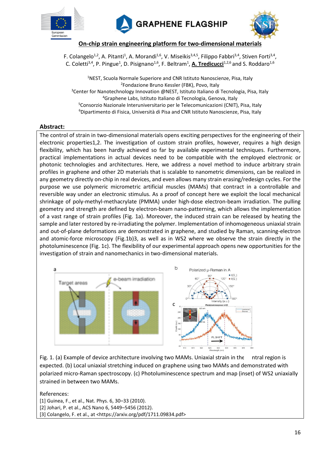





**On-chip strain engineering platform for two-dimensional materials**

F. Colangelo<sup>1,2</sup>, A. Pitanti<sup>1</sup>, A. Morandi<sup>1,6</sup>, V. Miseikis<sup>3,4,5</sup>, Filippo Fabbri<sup>3,4</sup>, Stiven Forti<sup>3,4</sup>, C. Coletti<sup>3,4</sup>, P. Pingue<sup>1</sup>, D. Pisignano<sup>1,6</sup>, F. Beltram<sup>1</sup>, A. Tredicucci<sup>1,2,6</sup> and S. Roddaro<sup>1,6</sup>

<sup>1</sup>NEST, Scuola Normale Superiore and CNR Istituto Nanoscienze, Pisa, Italy 2 Fondazione Bruno Kessler (FBK), Povo, Italy <sup>3</sup>Center for Nanotechnology Innovation @NEST, Istituto Italiano di Tecnologia, Pisa, Italy <sup>4</sup>Graphene Labs, Istituto Italiano di Tecnologia, Genova, Italy <sup>5</sup>Consorzio Nazionale Interuniversitario per le Telecomunicazioni (CNIT), Pisa, Italy <sup>6</sup>Dipartimento di Fisica, Università di Pisa and CNR Istituto Nanoscienze, Pisa, Italy

#### **Abstract:**

The control of strain in two-dimensional materials opens exciting perspectives for the engineering of their electronic properties1,2. The investigation of custom strain profiles, however, requires a high design flexibility, which has been hardly achieved so far by available experimental techniques. Furthermore, practical implementations in actual devices need to be compatible with the employed electronic or photonic technologies and architectures. Here, we address a novel method to induce arbitrary strain profiles in graphene and other 2D materials that is scalable to nanometric dimensions, can be realized in any geometry directly on-chip in real devices, and even allows many strain erasing/redesign cycles. For the purpose we use polymeric micrometric artificial muscles (MAMs) that contract in a controllable and reversible way under an electronic stimulus. As a proof of concept here we exploit the local mechanical shrinkage of poly-methyl-methacrylate (PMMA) under high-dose electron-beam irradiation. The pulling geometry and strength are defined by electron-beam nano-patterning, which allows the implementation of a vast range of strain profiles (Fig. 1a). Moreover, the induced strain can be released by heating the sample and later restored by re-irradiating the polymer. Implementation of inhomogeneous uniaxial strain and out-of-plane deformations are demonstrated in graphene, and studied by Raman, scanning-electron and atomic-force microscopy (Fig.1b)3, as well as in WS2 where we observe the strain directly in the photoluminescence (Fig. 1c). The flexibility of our experimental approach opens new opportunities for the investigation of strain and nanomechanics in two-dimensional materials.



Fig. 1. (a) Example of device architecture involving two MAMs. Uniaxial strain in the ntral region is expected. (b) Local uniaxial stretching induced on graphene using two MAMs and demonstrated with polarized micro-Raman spectroscopy. (c) Photoluminescence spectrum and map (inset) of WS2 uniaxially strained in between two MAMs.

#### References:

[1] Guinea, F., et al., Nat. Phys. 6, 30–33 (2010). [2] Johari, P. et al., ACS Nano 6, 5449–5456 (2012). [3] Colangelo, F. et al., at <https://arxiv.org/pdf/1711.09834.pdf>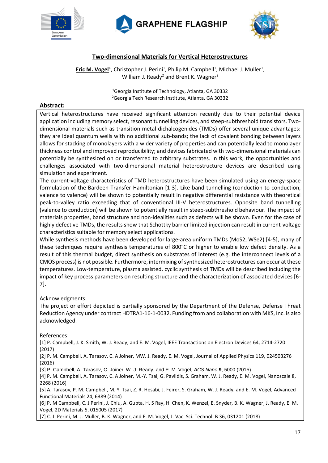





## **Two-dimensional Materials for Vertical Heterostructures**

**Eric M. Vogel<sup>1</sup>**, Christopher J. Perini<sup>1</sup>, Philip M. Campbell<sup>1</sup>, Michael J. Muller<sup>1</sup>, William J. Ready<sup>2</sup> and Brent K. Wagner<sup>2</sup>

> <sup>1</sup>Georgia Institute of Technology, Atlanta, GA 30332 <sup>2</sup>Georgia Tech Research Institute, Atlanta, GA 30332

#### **Abstract:**

Vertical heterostructures have received significant attention recently due to their potential device application including memory select, resonant tunnelling devices, and steep-subthreshold transistors. Twodimensional materials such as transition metal dichalcogenides (TMDs) offer several unique advantages: they are ideal quantum wells with no additional sub-bands; the lack of covalent bonding between layers allows for stacking of monolayers with a wider variety of properties and can potentially lead to monolayer thickness control and improved reproducibility; and devices fabricated with two-dimensional materials can potentially be synthesized on or transferred to arbitrary substrates. In this work, the opportunities and challenges associated with two-dimensional material heterostructure devices are described using simulation and experiment.

The current-voltage characteristics of TMD heterostructures have been simulated using an energy-space formulation of the Bardeen Transfer Hamiltonian [1-3]. Like-band tunnelling (conduction to conduction, valence to valence) will be shown to potentially result in negative differential resistance with theoretical peak-to-valley ratio exceeding that of conventional III-V heterostructures. Opposite band tunnelling (valence to conduction) will be shown to potentially result in steep-subthreshold behaviour. The impact of materials properties, band structure and non-idealities such as defects will be shown. Even for the case of highly defective TMDs, the results show that Schottky barrier limited injection can result in current-voltage characteristics suitable for memory select applications.

While synthesis methods have been developed for large-area uniform TMDs (MoS2, WSe2) [4-5], many of these techniques require synthesis temperatures of 800°C or higher to enable low defect density. As a result of this thermal budget, direct synthesis on substrates of interest (e.g. the interconnect levels of a CMOS process) is not possible. Furthermore, intermixing of synthesized heterostructures can occur at these temperatures. Low-temperature, plasma assisted, cyclic synthesis of TMDs will be described including the impact of key process parameters on resulting structure and the characterization of associated devices [6- 7].

#### Acknowledgments:

The project or effort depicted is partially sponsored by the Department of the Defense, Defense Threat Reduction Agency under contract HDTRA1-16-1-0032. Funding from and collaboration with MKS, Inc. is also acknowledged.

References:

[1] P. Campbell, J. K. Smith, W. J. Ready, and E. M. Vogel, IEEE Transactions on Electron Devices 64, 2714-2720 (2017)

[2] P. M. Campbell, A. Tarasov, C. A Joiner, MW. J. Ready, E. M. Vogel, Journal of Applied Physics 119, 024503276 (2016)

[3] P. Campbell, A. Tarasov, C. Joiner, W. J. Ready, and E. M. Vogel, *ACS Nano* **9**, 5000 (2015).

[4] P. M. Campbell, A. Tarasov, C. A Joiner, M.-Y. Tsai, G. Pavlidis, S. Graham, W. J. Ready, E. M. Vogel, Nanoscale 8, 2268 (2016)

[5] A. Tarasov, P. M. Campbell, M. Y. Tsai, Z. R. Hesabi, J. Feirer, S. Graham, W. J. Ready, and E. M. Vogel, Advanced Functional Materials 24, 6389 (2014)

[6] P. M Campbell, C. J Perini, J. Chiu, A. Gupta, H. S Ray, H. Chen, K. Wenzel, E. Snyder, B. K. Wagner, J. Ready, E. M. Vogel, 2D Materials 5, 015005 (2017)

[7] C. J. Perini, M. J. Muller, B. K. Wagner, and E. M. Vogel, J. Vac. Sci. Technol. B 36, 031201 (2018)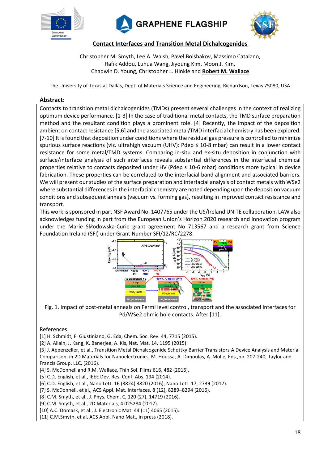





**Contact Interfaces and Transition Metal Dichalcogenides**

Christopher M. Smyth, Lee A. Walsh, Pavel Bolshakov, Massimo Catalano, Rafik Addou, Luhua Wang, Jiyoung Kim, Moon J. Kim, Chadwin D. Young, Christopher L. Hinkle and **Robert M. Wallace**

The University of Texas at Dallas, Dept. of Materials Science and Engineering, Richardson, Texas 75080, USA

#### **Abstract:**

Contacts to transition metal dichalcogenides (TMDs) present several challenges in the context of realizing optimum device performance. [1-3] In the case of traditional metal contacts, the TMD surface preparation method and the resultant condition plays a prominent role. [4] Recently, the impact of the deposition ambient on contact resistance [5,6] and the associated metal/TMD interfacial chemistry has been explored. [7-10] It is found that deposition under conditions where the residual gas pressure is controlled to minimize spurious surface reactions (viz. ultrahigh vacuum (UHV): Pdep ≤ 10-8 mbar) can result in a lower contact resistance for some metal/TMD systems. Comparing in-situ and ex-situ deposition in conjunction with surface/interface analysis of such interfaces reveals substantial differences in the interfacial chemical properties relative to contacts deposited under HV (Pdep ≤ 10-6 mbar) conditions more typical in device fabrication. These properties can be correlated to the interfacial band alignment and associated barriers. We will present our studies of the surface preparation and interfacial analysis of contact metals with WSe2 where substantial differences in the interfacial chemistry are noted depending upon the deposition vacuum conditions and subsequent anneals (vacuum vs. forming gas), resulting in improved contact resistance and transport.

This work is sponsored in part NSF Award No. 1407765 under the US/Ireland UNITE collaboration. LAW also acknowledges funding in part from the European Union's Horizon 2020 research and innovation program under the Marie Skłodowska-Curie grant agreement No 713567 and a research grant from Science Foundation Ireland (SFI) under Grant Number SFI/12/RC/2278.



Fig. 1. Impact of post-metal anneals on Fermi level control, transport and the associated interfaces for Pd/WSe2 ohmic hole contacts. After [11].

#### References:

[1] H. Schmidt, F. Giustiniano, G. Eda, Chem. Soc. Rev. 44, 7715 (2015).

[2] A. Allain, J. Kang, K. Banerjee, A. Kis, Nat. Mat. 14, 1195 (2015).

[3] J. Appenzeller, et al., Transition Metal Dichalcogenide Schottky Barrier Transistors A Device Analysis and Material Comparison, in 2D Materials for Nanoelectronics, M. Houssa, A. Dimoulas, A. Molle, Eds.,pp. 207-240, Taylor and Francis Group. LLC, (2016).

[4] S. McDonnell and R.M. Wallace, Thin Sol. Films 616, 482 (2016).

[5] C.D. English, et al., IEEE Dev. Res. Conf. Abs. 194 (2014).

[6] C.D. English, et al., Nano Lett. 16 (3824) 3820 (2016); Nano Lett. 17, 2739 (2017).

[7] S. McDonnell, et al., ACS Appl. Mat. Interfaces, 8 (12), 8289-8294 (2016).

[8] C.M. Smyth, et al., J. Phys. Chem. C, 120 (27), 14719 (2016).

[9] C.M. Smyth, et al., 2D Materials, 4 025284 (2017).

[10] A.C. Domask, et al., J. Electronic Mat. 44 (11) 4065 (2015).

[11] C.M.Smyth, et al, ACS Appl. Nano Mat., in press (2018).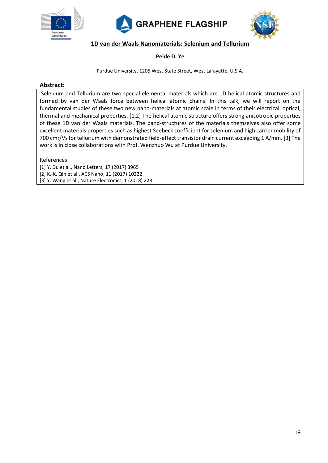





#### **1D van der Waals Nanomaterials: Selenium and Tellurium**

#### **Peide D. Ye**

Purdue University, 1205 West State Street, West Lafayette, U.S.A.

#### **Abstract:**

Selenium and Tellurium are two special elemental materials which are 1D helical atomic structures and formed by van der Waals force between helical atomic chains. In this talk, we will report on the fundamental studies of these two new nano-materials at atomic scale in terms of their electrical, optical, thermal and mechanical properties. [1,2] The helical atomic structure offers strong anisotropic properties of these 1D van der Waals materials. The band-structures of the materials themselves also offer some excellent materials properties such as highest Seebeck coefficient for selenium and high carrier mobility of 700 cm2/Vs for tellurium with demonstrated field-effect transistor drain current exceeding 1 A/mm. [3] The work is in close collaborations with Prof. Wenzhuo Wu at Purdue University.

References:

[1] Y. Du et al., Nano Letters, 17 (2017) 3965 [2] K.-K. Qin et al., ACS Nano, 11 (2017) 10222 [3] Y. Wang et al., Nature Electronics, 1 (2018) 228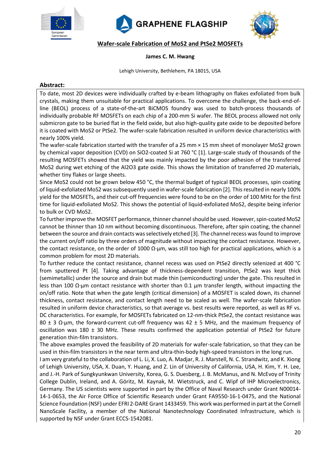





**Wafer-scale Fabrication of MoS2 and PtSe2 MOSFETs**

#### **James C. M. Hwang**

Lehigh University, Bethlehem, PA 18015, USA

#### **Abstract:**

To date, most 2D devices were individually crafted by e-beam lithography on flakes exfoliated from bulk crystals, making them unsuitable for practical applications. To overcome the challenge, the back-end-ofline (BEOL) process of a state-of-the-art BiCMOS foundry was used to batch-process thousands of individually probable RF MOSFETs on each chip of a 200-mm Si wafer. The BEOL process allowed not only submicron gate to be buried flat in the field oxide, but also high-quality gate oxide to be deposited before it is coated with MoS2 or PtSe2. The wafer-scale fabrication resulted in uniform device characteristics with nearly 100% yield.

The wafer-scale fabrication started with the transfer of a 25 mm × 15 mm sheet of monolayer MoS2 grown by chemical vapor deposition (CVD) on SiO2-coated Si at 760 °C [1]. Large-scale study of thousands of the resulting MOSFETs showed that the yield was mainly impacted by the poor adhesion of the transferred MoS2 during wet etching of the Al2O3 gate oxide. This shows the limitation of transferred 2D materials, whether tiny flakes or large sheets.

Since MoS2 could not be grown below 450 °C, the thermal budget of typical BEOL processes, spin coating of liquid-exfoliated MoS2 was subsequently used in wafer-scale fabrication [2]. Thisresulted in nearly 100% yield for the MOSFETs, and their cut-off frequencies were found to be on the order of 100 MHz for the first time for liquid-exfoliated MoS2. This shows the potential of liquid-exfoliated MoS2, despite being inferior to bulk or CVD MoS2.

To further improve the MOSFET performance, thinner channel should be used. However, spin-coated MoS2 cannot be thinner than 10 nm without becoming discontinuous. Therefore, after spin coating, the channel between the source and drain contacts was selectively etched [3]. The channel recess was found to improve the current on/off ratio by three orders of magnitude without impacting the contact resistance. However, the contact resistance, on the order of 1000 Ω⋅μm, was still too high for practical applications, which is a common problem for most 2D materials.

To further reduce the contact resistance, channel recess was used on PtSe2 directly selenized at 400 °C from sputtered Pt [4]. Taking advantage of thickness-dependent transition, PtSe2 was kept thick (semimetallic) under the source and drain but made thin (semiconducting) under the gate. This resulted in less than 100 Ω∙μm contact resistance with shorter than 0.1 μm transfer length, without impacting the on/off ratio. Note that when the gate length (critical dimension) of a MOSFET is scaled down, its channel thickness, contact resistance, and contact length need to be scaled as well. The wafer-scale fabrication resulted in uniform device characteristics, so that average vs. best results were reported, as well as RF vs. DC characteristics. For example, for MOSFETs fabricated on 12-nm-thick PtSe2, the contact resistance was 80 ± 3 Ω∙μm, the forward-current cut-off frequency was 42 ± 5 MHz, and the maximum frequency of oscillation was 180  $\pm$  30 MHz. These results confirmed the application potential of PtSe2 for future generation thin-film transistors.

The above examples proved the feasibility of 2D materials for wafer-scale fabrication, so that they can be used in thin-film transistors in the near term and ultra-thin-body high-speed transistors in the long run.

I am very grateful to the collaboration of L. Li, X. Luo, A. Madjar, R. J. Marstell, N. C. Strandwitz, and K. Xiong of Lehigh University, USA, X. Duan, Y. Huang, and Z. Lin of University of California, USA, H. Kim, Y. H. Lee, and J.-H. Park of Sungkyunkwan University, Korea, G. S. Duesberg, J. B. McManus, and N. McEvoy of Trinity College Dublin, Ireland, and A. Göritz, M. Kaynak, M. Wietstruck, and C. Wipf of IHP Microelectronics, Germany. The US scientists were supported in part by the Office of Naval Research under Grant N00014- 14-1-0653, the Air Force Office of Scientific Research under Grant FA9550-16-1-0475, and the National Science Foundation (NSF) under EFRI 2-DARE Grant 1433459. This work was performed in part at the Cornell NanoScale Facility, a member of the National Nanotechnology Coordinated Infrastructure, which is supported by NSF under Grant ECCS-1542081.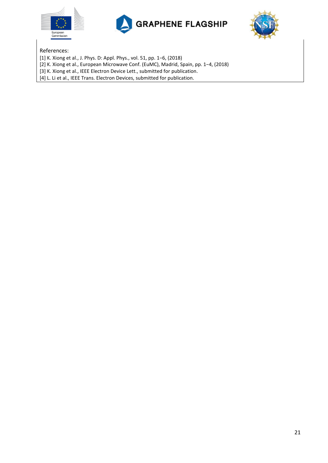





References:

[1] K. Xiong et al., J. Phys. D: Appl. Phys., vol. 51, pp. 1−6, (2018)

[2] K. Xiong et al., European Microwave Conf. (EuMC), Madrid, Spain, pp. 1−4, (2018)

[3] K. Xiong et al., IEEE Electron Device Lett., submitted for publication.

[4] L. Li et al., IEEE Trans. Electron Devices, submitted for publication.